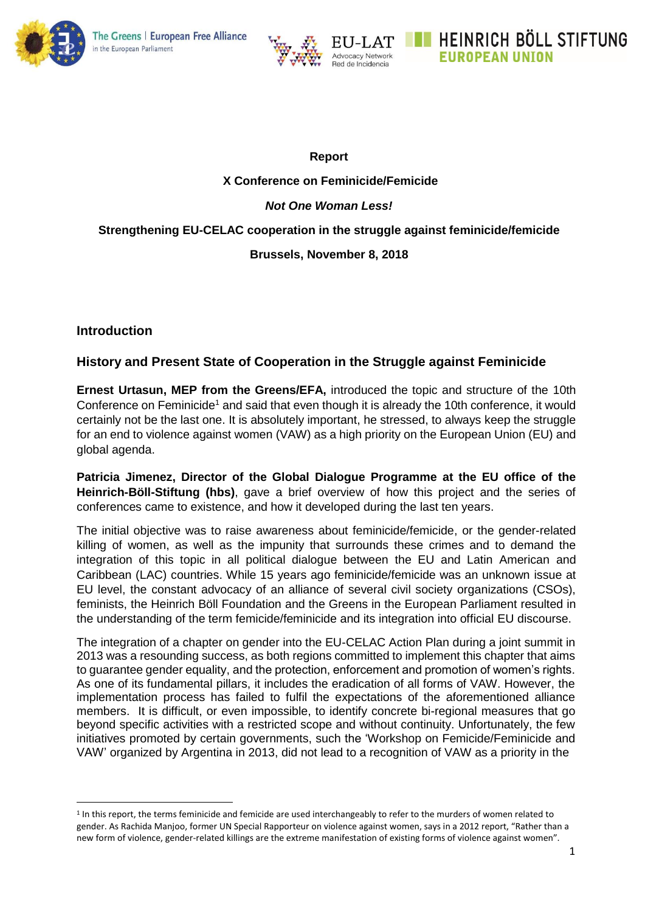



#### **Report**

## **X Conference on Feminicide/Femicide**

## *Not One Woman Less!*

## **Strengthening EU-CELAC cooperation in the struggle against feminicide/femicide**

### **Brussels, November 8, 2018**

## **Introduction**

**.** 

# **History and Present State of Cooperation in the Struggle against Feminicide**

**Ernest Urtasun, MEP from the Greens/EFA,** introduced the topic and structure of the 10th Conference on Feminicide<sup>1</sup> and said that even though it is already the 10th conference, it would certainly not be the last one. It is absolutely important, he stressed, to always keep the struggle for an end to violence against women (VAW) as a high priority on the European Union (EU) and global agenda.

**Patricia Jimenez, Director of the Global Dialogue Programme at the EU office of the Heinrich-Böll-Stiftung (hbs)**, gave a brief overview of how this project and the series of conferences came to existence, and how it developed during the last ten years.

The initial objective was to raise awareness about feminicide/femicide, or the gender-related killing of women, as well as the impunity that surrounds these crimes and to demand the integration of this topic in all political dialogue between the EU and Latin American and Caribbean (LAC) countries. While 15 years ago feminicide/femicide was an unknown issue at EU level, the constant advocacy of an alliance of several civil society organizations (CSOs), feminists, the Heinrich Böll Foundation and the Greens in the European Parliament resulted in the understanding of the term femicide/feminicide and its integration into official EU discourse.

The integration of a chapter on gender into the EU-CELAC Action Plan during a joint summit in 2013 was a resounding success, as both regions committed to implement this chapter that aims to guarantee gender equality, and the protection, enforcement and promotion of women's rights. As one of its fundamental pillars, it includes the eradication of all forms of VAW. However, the implementation process has failed to fulfil the expectations of the aforementioned alliance members. It is difficult, or even impossible, to identify concrete bi-regional measures that go beyond specific activities with a restricted scope and without continuity. Unfortunately, the few initiatives promoted by certain governments, such the 'Workshop on Femicide/Feminicide and VAW' organized by Argentina in 2013, did not lead to a recognition of VAW as a priority in the

<sup>&</sup>lt;sup>1</sup> In this report, the terms feminicide and femicide are used interchangeably to refer to the murders of women related to gender. As Rachida Manjoo, former UN Special Rapporteur on violence against women, says in a 2012 report, "Rather than a new form of violence, gender-related killings are the extreme manifestation of existing forms of violence against women".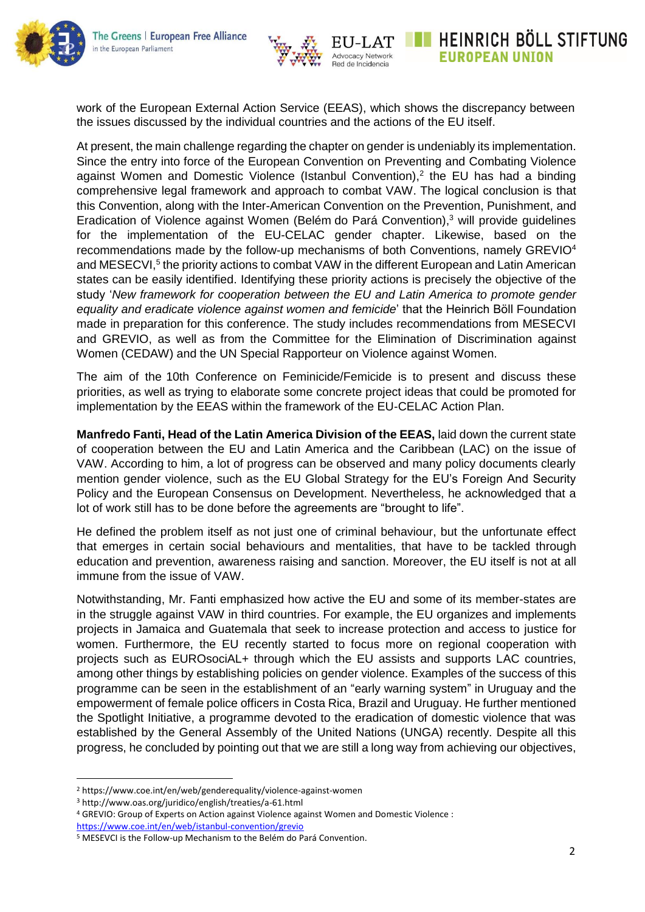



work of the European External Action Service (EEAS), which shows the discrepancy between the issues discussed by the individual countries and the actions of the EU itself.

At present, the main challenge regarding the chapter on gender is undeniably its implementation. Since the entry into force of the European Convention on Preventing and Combating Violence against Women and Domestic Violence (Istanbul Convention), 2 the EU has had a binding comprehensive legal framework and approach to combat VAW. The logical conclusion is that this Convention, along with the Inter-American Convention on the Prevention, Punishment, and Eradication of Violence against Women (Belém do Pará Convention), <sup>3</sup> will provide guidelines for the implementation of the EU-CELAC gender chapter. Likewise, based on the recommendations made by the follow-up mechanisms of both Conventions, namely GREVIO<sup>4</sup> and MESECVI,<sup>5</sup> the priority actions to combat VAW in the different European and Latin American states can be easily identified. Identifying these priority actions is precisely the objective of the study '*New framework for cooperation between the EU and Latin America to promote gender equality and eradicate violence against women and femicide*' that the Heinrich Böll Foundation made in preparation for this conference. The study includes recommendations from MESECVI and GREVIO, as well as from the Committee for the Elimination of Discrimination against Women (CEDAW) and the UN Special Rapporteur on Violence against Women.

The aim of the 10th Conference on Feminicide/Femicide is to present and discuss these priorities, as well as trying to elaborate some concrete project ideas that could be promoted for implementation by the EEAS within the framework of the EU-CELAC Action Plan.

**Manfredo Fanti, Head of the Latin America Division of the EEAS,** laid down the current state of cooperation between the EU and Latin America and the Caribbean (LAC) on the issue of VAW. According to him, a lot of progress can be observed and many policy documents clearly mention gender violence, such as the EU Global Strategy for the EU's Foreign And Security Policy and the European Consensus on Development. Nevertheless, he acknowledged that a lot of work still has to be done before the agreements are "brought to life".

He defined the problem itself as not just one of criminal behaviour, but the unfortunate effect that emerges in certain social behaviours and mentalities, that have to be tackled through education and prevention, awareness raising and sanction. Moreover, the EU itself is not at all immune from the issue of VAW.

Notwithstanding, Mr. Fanti emphasized how active the EU and some of its member-states are in the struggle against VAW in third countries. For example, the EU organizes and implements projects in Jamaica and Guatemala that seek to increase protection and access to justice for women. Furthermore, the EU recently started to focus more on regional cooperation with projects such as EUROsociAL+ through which the EU assists and supports LAC countries, among other things by establishing policies on gender violence. Examples of the success of this programme can be seen in the establishment of an "early warning system" in Uruguay and the empowerment of female police officers in Costa Rica, Brazil and Uruguay. He further mentioned the Spotlight Initiative, a programme devoted to the eradication of domestic violence that was established by the General Assembly of the United Nations (UNGA) recently. Despite all this progress, he concluded by pointing out that we are still a long way from achieving our objectives,

1

**HEINRICH BOLL STIFTUNG** 

**EUROPEAN UNION** 

<sup>2</sup> https://www.coe.int/en/web/genderequality/violence-against-women

<sup>3</sup> http://www.oas.org/juridico/english/treaties/a-61.html

<sup>4</sup> GREVIO: Group of Experts on Action against Violence against Women and Domestic Violence : <https://www.coe.int/en/web/istanbul-convention/grevio>

<sup>5</sup> MESEVCI is the Follow-up Mechanism to the Belém do Pará Convention.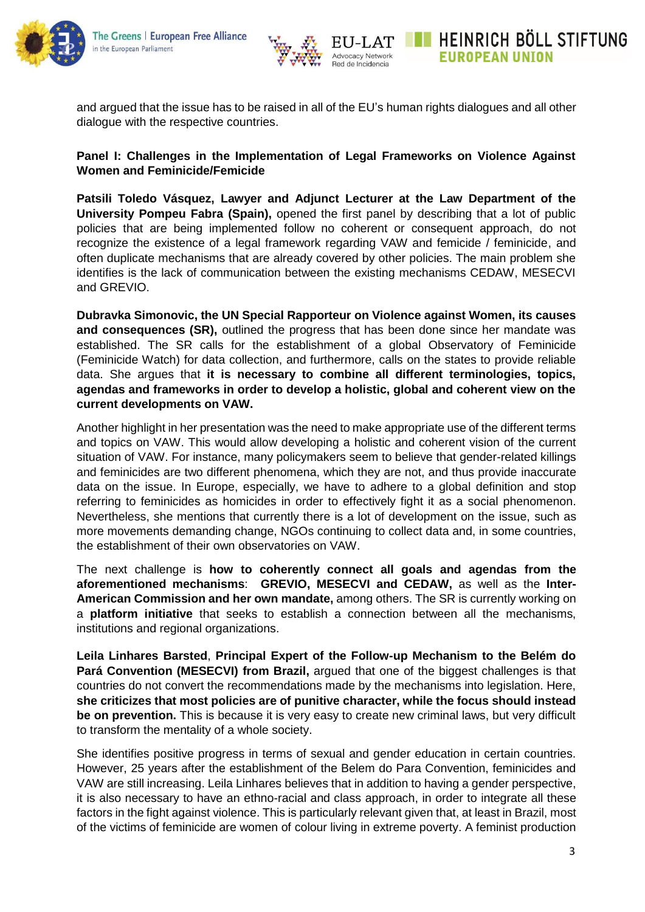



and argued that the issue has to be raised in all of the EU's human rights dialogues and all other dialogue with the respective countries.

## **Panel I: Challenges in the Implementation of Legal Frameworks on Violence Against Women and Feminicide/Femicide**

**Patsili Toledo Vásquez, Lawyer and Adjunct Lecturer at the Law Department of the University Pompeu Fabra (Spain),** opened the first panel by describing that a lot of public policies that are being implemented follow no coherent or consequent approach, do not recognize the existence of a legal framework regarding VAW and femicide / feminicide, and often duplicate mechanisms that are already covered by other policies. The main problem she identifies is the lack of communication between the existing mechanisms CEDAW, MESECVI and GREVIO.

**Dubravka Simonovic, the UN Special Rapporteur on Violence against Women, its causes and consequences (SR),** outlined the progress that has been done since her mandate was established. The SR calls for the establishment of a global Observatory of Feminicide (Feminicide Watch) for data collection, and furthermore, calls on the states to provide reliable data. She argues that **it is necessary to combine all different terminologies, topics, agendas and frameworks in order to develop a holistic, global and coherent view on the current developments on VAW.**

Another highlight in her presentation was the need to make appropriate use of the different terms and topics on VAW. This would allow developing a holistic and coherent vision of the current situation of VAW. For instance, many policymakers seem to believe that gender-related killings and feminicides are two different phenomena, which they are not, and thus provide inaccurate data on the issue. In Europe, especially, we have to adhere to a global definition and stop referring to feminicides as homicides in order to effectively fight it as a social phenomenon. Nevertheless, she mentions that currently there is a lot of development on the issue, such as more movements demanding change, NGOs continuing to collect data and, in some countries, the establishment of their own observatories on VAW.

The next challenge is **how to coherently connect all goals and agendas from the aforementioned mechanisms**: **GREVIO, MESECVI and CEDAW,** as well as the **Inter-American Commission and her own mandate,** among others. The SR is currently working on a **platform initiative** that seeks to establish a connection between all the mechanisms, institutions and regional organizations.

**Leila Linhares Barsted**, **Principal Expert of the Follow-up Mechanism to the Belém do Pará Convention (MESECVI) from Brazil,** argued that one of the biggest challenges is that countries do not convert the recommendations made by the mechanisms into legislation. Here, **she criticizes that most policies are of punitive character, while the focus should instead be on prevention.** This is because it is very easy to create new criminal laws, but very difficult to transform the mentality of a whole society.

She identifies positive progress in terms of sexual and gender education in certain countries. However, 25 years after the establishment of the Belem do Para Convention, feminicides and VAW are still increasing. Leila Linhares believes that in addition to having a gender perspective, it is also necessary to have an ethno-racial and class approach, in order to integrate all these factors in the fight against violence. This is particularly relevant given that, at least in Brazil, most of the victims of feminicide are women of colour living in extreme poverty. A feminist production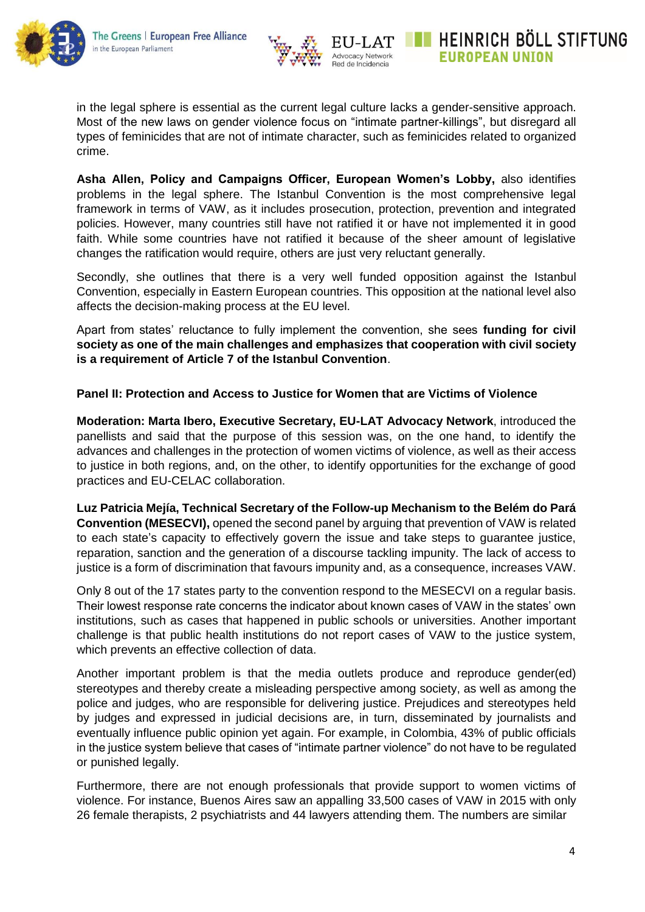



in the legal sphere is essential as the current legal culture lacks a gender-sensitive approach. Most of the new laws on gender violence focus on "intimate partner-killings", but disregard all types of feminicides that are not of intimate character, such as feminicides related to organized crime.

**Asha Allen, Policy and Campaigns Officer, European Women's Lobby,** also identifies problems in the legal sphere. The Istanbul Convention is the most comprehensive legal framework in terms of VAW, as it includes prosecution, protection, prevention and integrated policies. However, many countries still have not ratified it or have not implemented it in good faith. While some countries have not ratified it because of the sheer amount of legislative changes the ratification would require, others are just very reluctant generally.

Secondly, she outlines that there is a very well funded opposition against the Istanbul Convention, especially in Eastern European countries. This opposition at the national level also affects the decision-making process at the EU level.

Apart from states' reluctance to fully implement the convention, she sees **funding for civil society as one of the main challenges and emphasizes that cooperation with civil society is a requirement of Article 7 of the Istanbul Convention**.

### **Panel II: Protection and Access to Justice for Women that are Victims of Violence**

**Moderation: Marta Ibero, Executive Secretary, EU-LAT Advocacy Network**, introduced the panellists and said that the purpose of this session was, on the one hand, to identify the advances and challenges in the protection of women victims of violence, as well as their access to justice in both regions, and, on the other, to identify opportunities for the exchange of good practices and EU-CELAC collaboration.

**Luz Patricia Mejía, Technical Secretary of the Follow-up Mechanism to the Belém do Pará Convention (MESECVI),** opened the second panel by arguing that prevention of VAW is related to each state's capacity to effectively govern the issue and take steps to guarantee justice, reparation, sanction and the generation of a discourse tackling impunity. The lack of access to justice is a form of discrimination that favours impunity and, as a consequence, increases VAW.

Only 8 out of the 17 states party to the convention respond to the MESECVI on a regular basis. Their lowest response rate concerns the indicator about known cases of VAW in the states' own institutions, such as cases that happened in public schools or universities. Another important challenge is that public health institutions do not report cases of VAW to the justice system, which prevents an effective collection of data.

Another important problem is that the media outlets produce and reproduce gender(ed) stereotypes and thereby create a misleading perspective among society, as well as among the police and judges, who are responsible for delivering justice. Prejudices and stereotypes held by judges and expressed in judicial decisions are, in turn, disseminated by journalists and eventually influence public opinion yet again. For example, in Colombia, 43% of public officials in the justice system believe that cases of "intimate partner violence" do not have to be regulated or punished legally.

Furthermore, there are not enough professionals that provide support to women victims of violence. For instance, Buenos Aires saw an appalling 33,500 cases of VAW in 2015 with only 26 female therapists, 2 psychiatrists and 44 lawyers attending them. The numbers are similar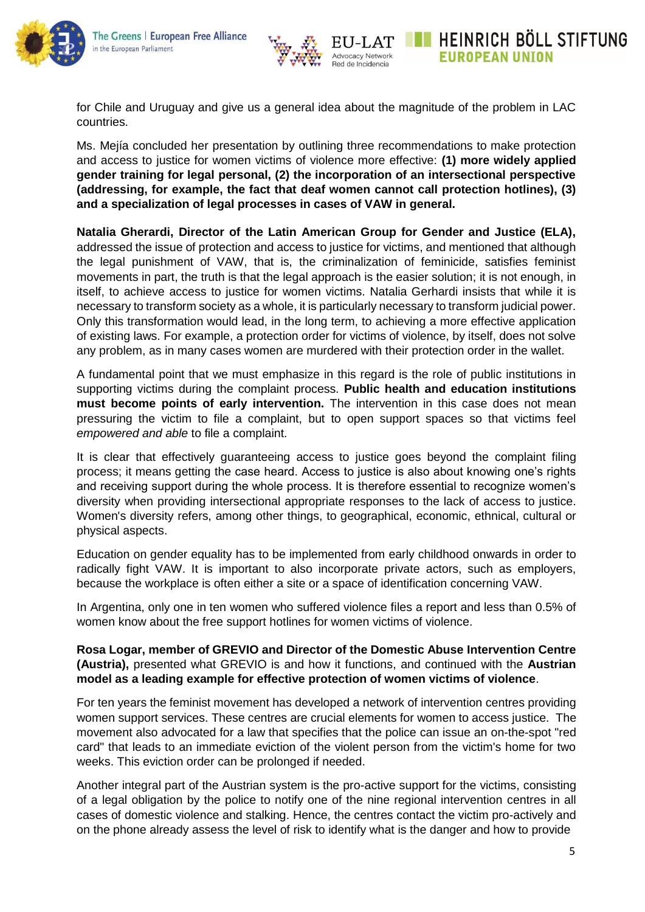



**HEINRICH BOLL STIFTUNG EUROPEAN UNION** 

for Chile and Uruguay and give us a general idea about the magnitude of the problem in LAC countries.

Ms. Mejía concluded her presentation by outlining three recommendations to make protection and access to justice for women victims of violence more effective: **(1) more widely applied gender training for legal personal, (2) the incorporation of an intersectional perspective (addressing, for example, the fact that deaf women cannot call protection hotlines), (3) and a specialization of legal processes in cases of VAW in general.**

**Natalia Gherardi, Director of the Latin American Group for Gender and Justice (ELA),** addressed the issue of protection and access to justice for victims, and mentioned that although the legal punishment of VAW, that is, the criminalization of feminicide, satisfies feminist movements in part, the truth is that the legal approach is the easier solution; it is not enough, in itself, to achieve access to justice for women victims. Natalia Gerhardi insists that while it is necessary to transform society as a whole, it is particularly necessary to transform judicial power. Only this transformation would lead, in the long term, to achieving a more effective application of existing laws. For example, a protection order for victims of violence, by itself, does not solve any problem, as in many cases women are murdered with their protection order in the wallet.

A fundamental point that we must emphasize in this regard is the role of public institutions in supporting victims during the complaint process. **Public health and education institutions must become points of early intervention.** The intervention in this case does not mean pressuring the victim to file a complaint, but to open support spaces so that victims feel *empowered and able* to file a complaint.

It is clear that effectively guaranteeing access to justice goes beyond the complaint filing process; it means getting the case heard. Access to justice is also about knowing one's rights and receiving support during the whole process. It is therefore essential to recognize women's diversity when providing intersectional appropriate responses to the lack of access to justice. Women's diversity refers, among other things, to geographical, economic, ethnical, cultural or physical aspects.

Education on gender equality has to be implemented from early childhood onwards in order to radically fight VAW. It is important to also incorporate private actors, such as employers, because the workplace is often either a site or a space of identification concerning VAW.

In Argentina, only one in ten women who suffered violence files a report and less than 0.5% of women know about the free support hotlines for women victims of violence.

**Rosa Logar, member of GREVIO and Director of the Domestic Abuse Intervention Centre (Austria),** presented what GREVIO is and how it functions, and continued with the **Austrian model as a leading example for effective protection of women victims of violence**.

For ten years the feminist movement has developed a network of intervention centres providing women support services. These centres are crucial elements for women to access justice. The movement also advocated for a law that specifies that the police can issue an on-the-spot "red card" that leads to an immediate eviction of the violent person from the victim's home for two weeks. This eviction order can be prolonged if needed.

Another integral part of the Austrian system is the pro-active support for the victims, consisting of a legal obligation by the police to notify one of the nine regional intervention centres in all cases of domestic violence and stalking. Hence, the centres contact the victim pro-actively and on the phone already assess the level of risk to identify what is the danger and how to provide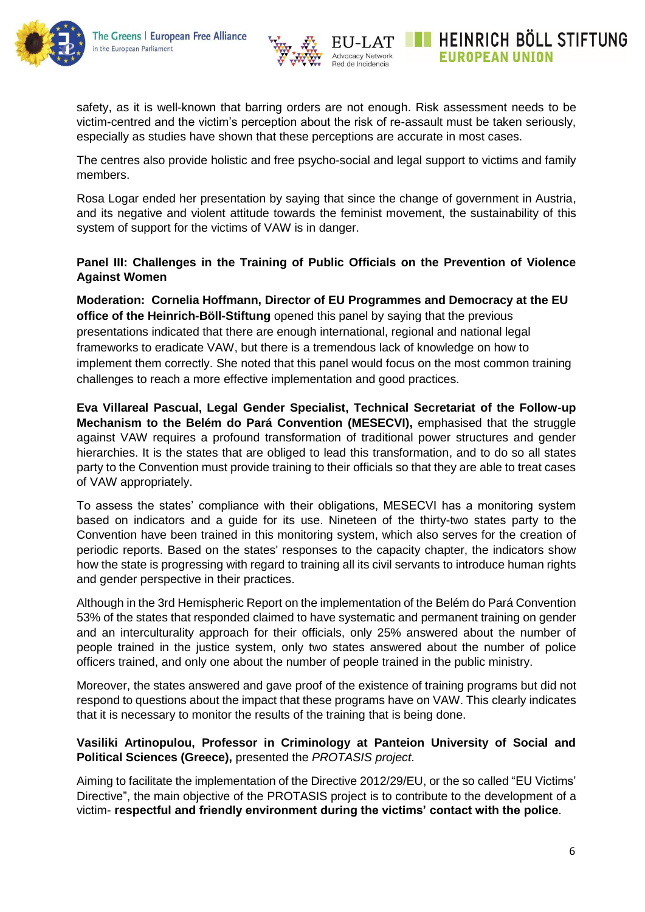



HEINRICH BOLL STIFTUNG

**EUROPEAN UNION** 

safety, as it is well-known that barring orders are not enough. Risk assessment needs to be victim-centred and the victim's perception about the risk of re-assault must be taken seriously, especially as studies have shown that these perceptions are accurate in most cases.

The centres also provide holistic and free psycho-social and legal support to victims and family members.

Rosa Logar ended her presentation by saying that since the change of government in Austria, and its negative and violent attitude towards the feminist movement, the sustainability of this system of support for the victims of VAW is in danger.

#### **Panel III: Challenges in the Training of Public Officials on the Prevention of Violence Against Women**

**Moderation: Cornelia Hoffmann, Director of EU Programmes and Democracy at the EU office of the Heinrich-Böll-Stiftung** opened this panel by saying that the previous presentations indicated that there are enough international, regional and national legal frameworks to eradicate VAW, but there is a tremendous lack of knowledge on how to implement them correctly. She noted that this panel would focus on the most common training challenges to reach a more effective implementation and good practices.

**Eva Villareal Pascual, Legal Gender Specialist, Technical Secretariat of the Follow-up Mechanism to the Belém do Pará Convention (MESECVI),** emphasised that the struggle against VAW requires a profound transformation of traditional power structures and gender hierarchies. It is the states that are obliged to lead this transformation, and to do so all states party to the Convention must provide training to their officials so that they are able to treat cases of VAW appropriately.

To assess the states' compliance with their obligations, MESECVI has a monitoring system based on indicators and a guide for its use. Nineteen of the thirty-two states party to the Convention have been trained in this monitoring system, which also serves for the creation of periodic reports. Based on the states' responses to the capacity chapter, the indicators show how the state is progressing with regard to training all its civil servants to introduce human rights and gender perspective in their practices.

Although in the 3rd Hemispheric Report on the implementation of the Belém do Pará Convention 53% of the states that responded claimed to have systematic and permanent training on gender and an interculturality approach for their officials, only 25% answered about the number of people trained in the justice system, only two states answered about the number of police officers trained, and only one about the number of people trained in the public ministry.

Moreover, the states answered and gave proof of the existence of training programs but did not respond to questions about the impact that these programs have on VAW. This clearly indicates that it is necessary to monitor the results of the training that is being done.

#### **Vasiliki Artinopulou, Professor in Criminology at Panteion University of Social and Political Sciences (Greece),** presented the *PROTASIS project*.

Aiming to facilitate the implementation of the Directive 2012/29/EU, or the so called "EU Victims' Directive", the main objective of the PROTASIS project is to contribute to the development of a victim- **respectful and friendly environment during the victims' contact with the police**.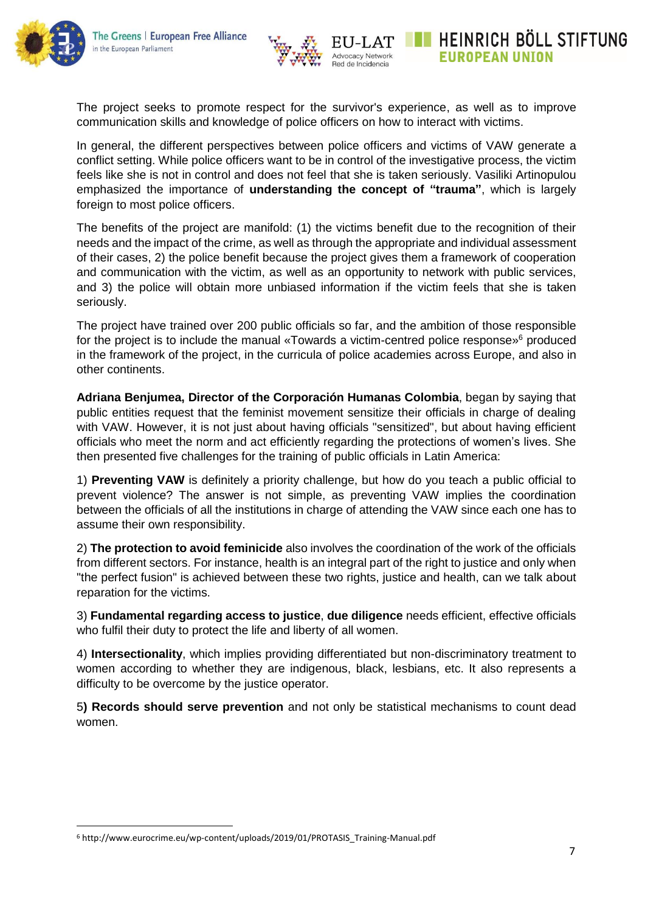

HEINRICH BOLL STIFTUNG **EUROPEAN UNION** 

The project seeks to promote respect for the survivor's experience, as well as to improve communication skills and knowledge of police officers on how to interact with victims.

In general, the different perspectives between police officers and victims of VAW generate a conflict setting. While police officers want to be in control of the investigative process, the victim feels like she is not in control and does not feel that she is taken seriously. Vasiliki Artinopulou emphasized the importance of **understanding the concept of "trauma"**, which is largely foreign to most police officers.

The benefits of the project are manifold: (1) the victims benefit due to the recognition of their needs and the impact of the crime, as well as through the appropriate and individual assessment of their cases, 2) the police benefit because the project gives them a framework of cooperation and communication with the victim, as well as an opportunity to network with public services, and 3) the police will obtain more unbiased information if the victim feels that she is taken seriously.

The project have trained over 200 public officials so far, and the ambition of those responsible for the project is to include the manual «Towards a victim-centred police response»<sup>6</sup> produced in the framework of the project, in the curricula of police academies across Europe, and also in other continents.

**Adriana Benjumea, Director of the Corporación Humanas Colombia**, began by saying that public entities request that the feminist movement sensitize their officials in charge of dealing with VAW. However, it is not just about having officials "sensitized", but about having efficient officials who meet the norm and act efficiently regarding the protections of women's lives. She then presented five challenges for the training of public officials in Latin America:

1) **Preventing VAW** is definitely a priority challenge, but how do you teach a public official to prevent violence? The answer is not simple, as preventing VAW implies the coordination between the officials of all the institutions in charge of attending the VAW since each one has to assume their own responsibility.

2) **The protection to avoid feminicide** also involves the coordination of the work of the officials from different sectors. For instance, health is an integral part of the right to justice and only when "the perfect fusion" is achieved between these two rights, justice and health, can we talk about reparation for the victims.

3) **Fundamental regarding access to justice**, **due diligence** needs efficient, effective officials who fulfil their duty to protect the life and liberty of all women.

4) **Intersectionality**, which implies providing differentiated but non-discriminatory treatment to women according to whether they are indigenous, black, lesbians, etc. It also represents a difficulty to be overcome by the justice operator.

5**) Records should serve prevention** and not only be statistical mechanisms to count dead women.

 $\overline{a}$ 

<sup>6</sup> http://www.eurocrime.eu/wp-content/uploads/2019/01/PROTASIS\_Training-Manual.pdf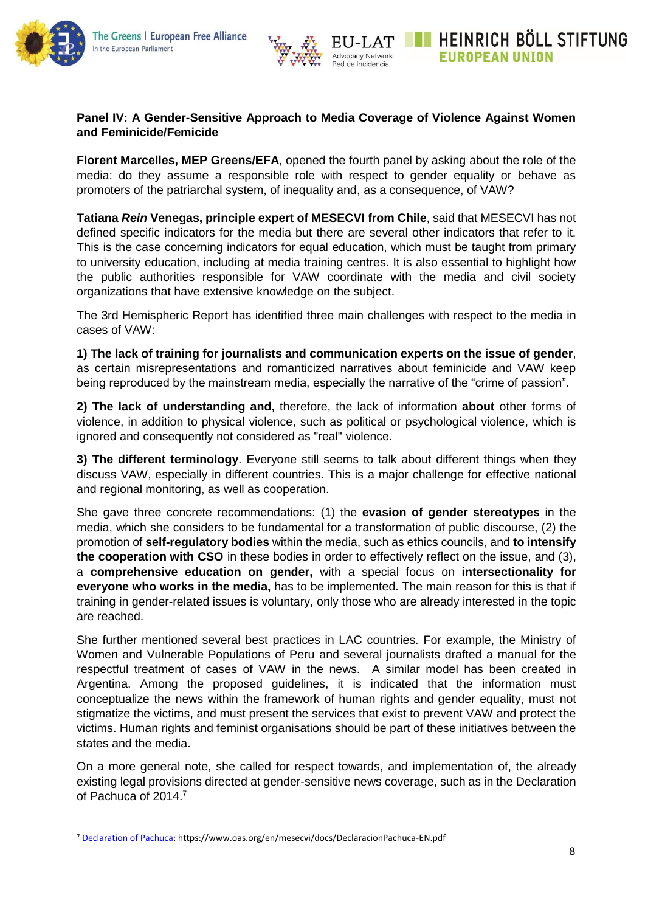

 $\overline{a}$ 



### **Panel IV: A Gender-Sensitive Approach to Media Coverage of Violence Against Women and Feminicide/Femicide**

**Florent Marcelles, MEP Greens/EFA**, opened the fourth panel by asking about the role of the media: do they assume a responsible role with respect to gender equality or behave as promoters of the patriarchal system, of inequality and, as a consequence, of VAW?

**Tatiana** *Rein* **Venegas, principle expert of MESECVI from Chile**, said that MESECVI has not defined specific indicators for the media but there are several other indicators that refer to it. This is the case concerning indicators for equal education, which must be taught from primary to university education, including at media training centres. It is also essential to highlight how the public authorities responsible for VAW coordinate with the media and civil society organizations that have extensive knowledge on the subject.

The 3rd Hemispheric Report has identified three main challenges with respect to the media in cases of VAW:

**1) The lack of training for journalists and communication experts on the issue of gender**, as certain misrepresentations and romanticized narratives about feminicide and VAW keep being reproduced by the mainstream media, especially the narrative of the "crime of passion".

**2) The lack of understanding and,** therefore, the lack of information **about** other forms of violence, in addition to physical violence, such as political or psychological violence, which is ignored and consequently not considered as "real" violence.

**3) The different terminology**. Everyone still seems to talk about different things when they discuss VAW, especially in different countries. This is a major challenge for effective national and regional monitoring, as well as cooperation.

She gave three concrete recommendations: (1) the **evasion of gender stereotypes** in the media, which she considers to be fundamental for a transformation of public discourse, (2) the promotion of **self-regulatory bodies** within the media, such as ethics councils, and **to intensify the cooperation with CSO** in these bodies in order to effectively reflect on the issue, and (3), a **comprehensive education on gender,** with a special focus on **intersectionality for everyone who works in the media,** has to be implemented. The main reason for this is that if training in gender-related issues is voluntary, only those who are already interested in the topic are reached.

She further mentioned several best practices in LAC countries. For example, the Ministry of Women and Vulnerable Populations of Peru and several journalists drafted a manual for the respectful treatment of cases of VAW in the news. A similar model has been created in Argentina. Among the proposed guidelines, it is indicated that the information must conceptualize the news within the framework of human rights and gender equality, must not stigmatize the victims, and must present the services that exist to prevent VAW and protect the victims. Human rights and feminist organisations should be part of these initiatives between the states and the media.

On a more general note, she called for respect towards, and implementation of, the already existing legal provisions directed at gender-sensitive news coverage, such as in the Declaration of Pachuca of 2014.<sup>7</sup>

<sup>7</sup> [Declaration of Pachuca:](https://www.oas.org/en/mesecvi/docs/DeclaracionPachuca-EN.pdf) https://www.oas.org/en/mesecvi/docs/DeclaracionPachuca-EN.pdf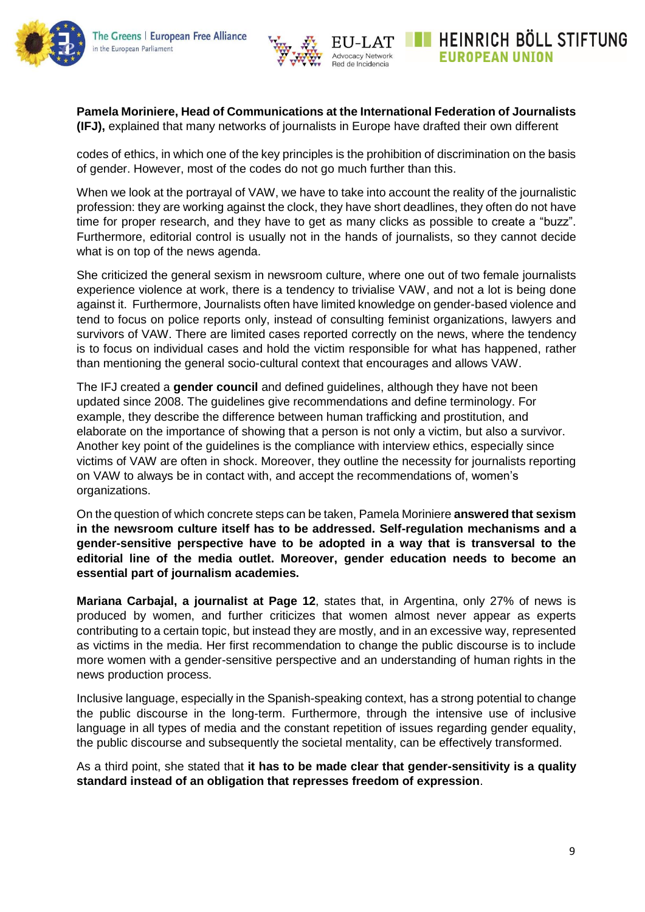



HEINRICH BÖLL STIFTUNG

**EUROPEAN UNION** 

**Pamela Moriniere, Head of Communications at the International Federation of Journalists (IFJ),** explained that many networks of journalists in Europe have drafted their own different

codes of ethics, in which one of the key principles is the prohibition of discrimination on the basis of gender. However, most of the codes do not go much further than this.

When we look at the portrayal of VAW, we have to take into account the reality of the journalistic profession: they are working against the clock, they have short deadlines, they often do not have time for proper research, and they have to get as many clicks as possible to create a "buzz". Furthermore, editorial control is usually not in the hands of journalists, so they cannot decide what is on top of the news agenda.

She criticized the general sexism in newsroom culture, where one out of two female journalists experience violence at work, there is a tendency to trivialise VAW, and not a lot is being done against it. Furthermore, Journalists often have limited knowledge on gender-based violence and tend to focus on police reports only, instead of consulting feminist organizations, lawyers and survivors of VAW. There are limited cases reported correctly on the news, where the tendency is to focus on individual cases and hold the victim responsible for what has happened, rather than mentioning the general socio-cultural context that encourages and allows VAW.

The IFJ created a **gender council** and defined guidelines, although they have not been updated since 2008. The guidelines give recommendations and define terminology. For example, they describe the difference between human trafficking and prostitution, and elaborate on the importance of showing that a person is not only a victim, but also a survivor. Another key point of the guidelines is the compliance with interview ethics, especially since victims of VAW are often in shock. Moreover, they outline the necessity for journalists reporting on VAW to always be in contact with, and accept the recommendations of, women's organizations.

On the question of which concrete steps can be taken, Pamela Moriniere **answered that sexism in the newsroom culture itself has to be addressed. Self-regulation mechanisms and a gender-sensitive perspective have to be adopted in a way that is transversal to the editorial line of the media outlet. Moreover, gender education needs to become an essential part of journalism academies.**

**Mariana Carbajal, a journalist at Page 12**, states that, in Argentina, only 27% of news is produced by women, and further criticizes that women almost never appear as experts contributing to a certain topic, but instead they are mostly, and in an excessive way, represented as victims in the media. Her first recommendation to change the public discourse is to include more women with a gender-sensitive perspective and an understanding of human rights in the news production process.

Inclusive language, especially in the Spanish-speaking context, has a strong potential to change the public discourse in the long-term. Furthermore, through the intensive use of inclusive language in all types of media and the constant repetition of issues regarding gender equality, the public discourse and subsequently the societal mentality, can be effectively transformed.

As a third point, she stated that **it has to be made clear that gender-sensitivity is a quality standard instead of an obligation that represses freedom of expression**.